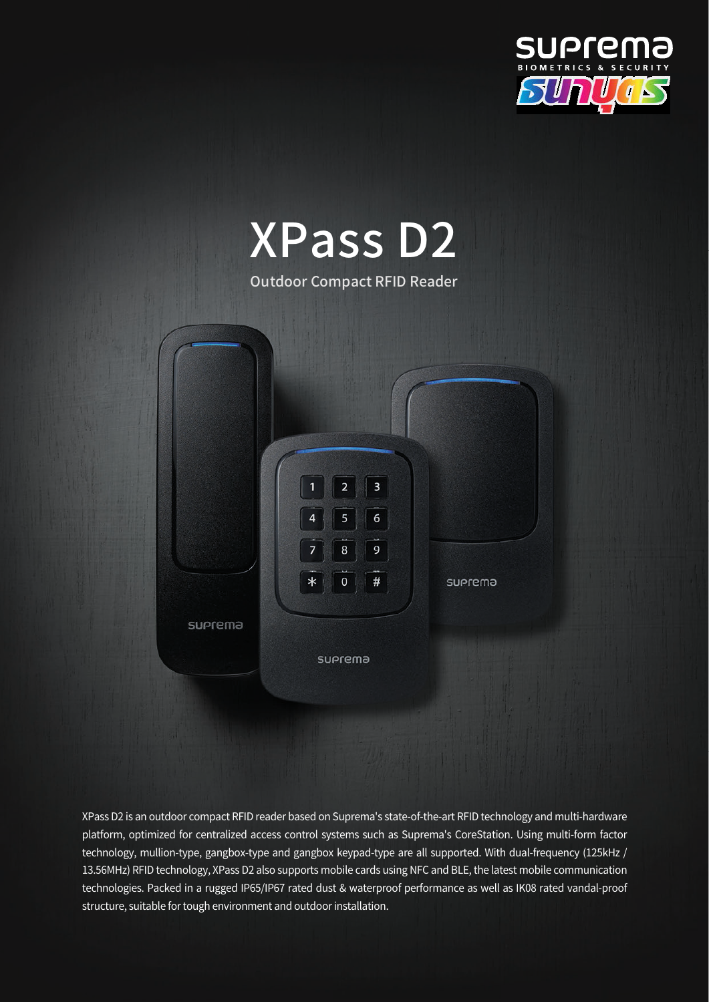



XPass D2 is an outdoor compact RFID reader based on Suprema's state-of-the-art RFID technology and multi-hardware platform, optimized for centralized access control systems such as Suprema's CoreStation. Using multi-form factor technology, mullion-type, gangbox-type and gangbox keypad-type are all supported. With dual-frequency (125kHz / 13.56MHz) RFID technology, XPass D2 also supports mobile cards using NFC and BLE, the latest mobile communication technologies. Packed in a rugged IP65/IP67 rated dust & waterproof performance as well as IK08 rated vandal-proof structure, suitable for tough environment and outdoor installation.